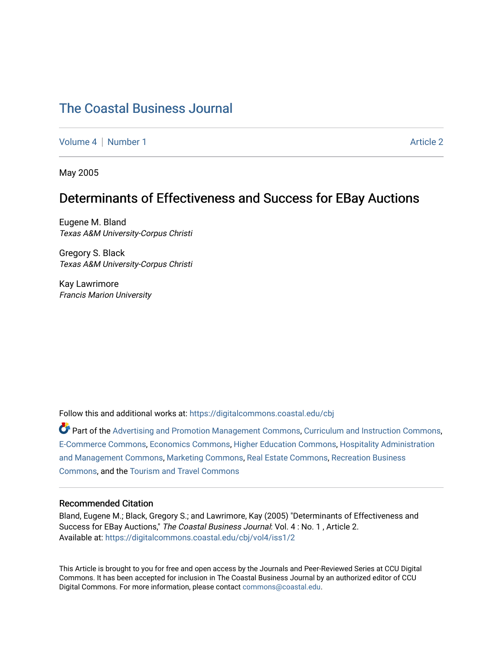# [The Coastal Business Journal](https://digitalcommons.coastal.edu/cbj)

[Volume 4](https://digitalcommons.coastal.edu/cbj/vol4) | [Number 1](https://digitalcommons.coastal.edu/cbj/vol4/iss1) Article 2

May 2005

## Determinants of Effectiveness and Success for EBay Auctions

Eugene M. Bland Texas A&M University-Corpus Christi

Gregory S. Black Texas A&M University-Corpus Christi

Kay Lawrimore Francis Marion University

Follow this and additional works at: [https://digitalcommons.coastal.edu/cbj](https://digitalcommons.coastal.edu/cbj?utm_source=digitalcommons.coastal.edu%2Fcbj%2Fvol4%2Fiss1%2F2&utm_medium=PDF&utm_campaign=PDFCoverPages) 

Part of the [Advertising and Promotion Management Commons,](http://network.bepress.com/hgg/discipline/626?utm_source=digitalcommons.coastal.edu%2Fcbj%2Fvol4%2Fiss1%2F2&utm_medium=PDF&utm_campaign=PDFCoverPages) [Curriculum and Instruction Commons,](http://network.bepress.com/hgg/discipline/786?utm_source=digitalcommons.coastal.edu%2Fcbj%2Fvol4%2Fiss1%2F2&utm_medium=PDF&utm_campaign=PDFCoverPages) [E-Commerce Commons,](http://network.bepress.com/hgg/discipline/624?utm_source=digitalcommons.coastal.edu%2Fcbj%2Fvol4%2Fiss1%2F2&utm_medium=PDF&utm_campaign=PDFCoverPages) [Economics Commons](http://network.bepress.com/hgg/discipline/340?utm_source=digitalcommons.coastal.edu%2Fcbj%2Fvol4%2Fiss1%2F2&utm_medium=PDF&utm_campaign=PDFCoverPages), [Higher Education Commons](http://network.bepress.com/hgg/discipline/1245?utm_source=digitalcommons.coastal.edu%2Fcbj%2Fvol4%2Fiss1%2F2&utm_medium=PDF&utm_campaign=PDFCoverPages), [Hospitality Administration](http://network.bepress.com/hgg/discipline/632?utm_source=digitalcommons.coastal.edu%2Fcbj%2Fvol4%2Fiss1%2F2&utm_medium=PDF&utm_campaign=PDFCoverPages) [and Management Commons,](http://network.bepress.com/hgg/discipline/632?utm_source=digitalcommons.coastal.edu%2Fcbj%2Fvol4%2Fiss1%2F2&utm_medium=PDF&utm_campaign=PDFCoverPages) [Marketing Commons](http://network.bepress.com/hgg/discipline/638?utm_source=digitalcommons.coastal.edu%2Fcbj%2Fvol4%2Fiss1%2F2&utm_medium=PDF&utm_campaign=PDFCoverPages), [Real Estate Commons](http://network.bepress.com/hgg/discipline/641?utm_source=digitalcommons.coastal.edu%2Fcbj%2Fvol4%2Fiss1%2F2&utm_medium=PDF&utm_campaign=PDFCoverPages), [Recreation Business](http://network.bepress.com/hgg/discipline/1083?utm_source=digitalcommons.coastal.edu%2Fcbj%2Fvol4%2Fiss1%2F2&utm_medium=PDF&utm_campaign=PDFCoverPages) [Commons](http://network.bepress.com/hgg/discipline/1083?utm_source=digitalcommons.coastal.edu%2Fcbj%2Fvol4%2Fiss1%2F2&utm_medium=PDF&utm_campaign=PDFCoverPages), and the [Tourism and Travel Commons](http://network.bepress.com/hgg/discipline/1082?utm_source=digitalcommons.coastal.edu%2Fcbj%2Fvol4%2Fiss1%2F2&utm_medium=PDF&utm_campaign=PDFCoverPages)

#### Recommended Citation

Bland, Eugene M.; Black, Gregory S.; and Lawrimore, Kay (2005) "Determinants of Effectiveness and Success for EBay Auctions," The Coastal Business Journal: Vol. 4 : No. 1 , Article 2. Available at: [https://digitalcommons.coastal.edu/cbj/vol4/iss1/2](https://digitalcommons.coastal.edu/cbj/vol4/iss1/2?utm_source=digitalcommons.coastal.edu%2Fcbj%2Fvol4%2Fiss1%2F2&utm_medium=PDF&utm_campaign=PDFCoverPages)

This Article is brought to you for free and open access by the Journals and Peer-Reviewed Series at CCU Digital Commons. It has been accepted for inclusion in The Coastal Business Journal by an authorized editor of CCU Digital Commons. For more information, please contact [commons@coastal.edu](mailto:commons@coastal.edu).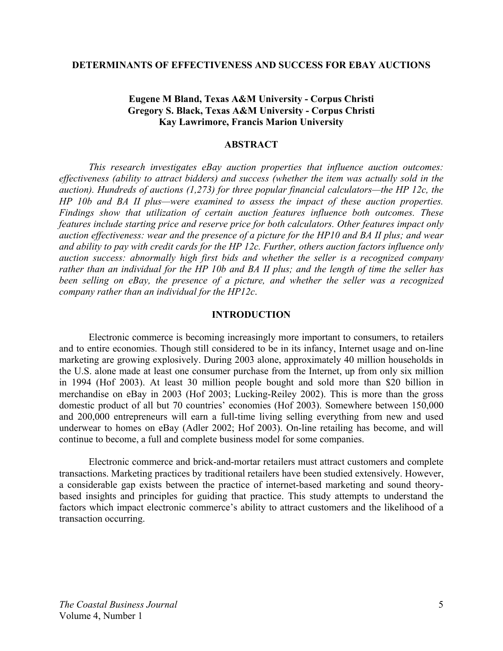#### **DETERMINANTS OF EFFECTIVENESS AND SUCCESS FOR EBAY AUCTIONS**

### **Eugene M Bland, Texas A&M University - Corpus Christi Gregory S. Black, Texas A&M University - Corpus Christi Kay Lawrimore, Francis Marion University**

### **ABSTRACT**

 *This research investigates eBay auction properties that influence auction outcomes: effectiveness (ability to attract bidders) and success (whether the item was actually sold in the auction). Hundreds of auctions (1,273) for three popular financial calculators—the HP 12c, the HP 10b and BA II plus—were examined to assess the impact of these auction properties. Findings show that utilization of certain auction features influence both outcomes. These features include starting price and reserve price for both calculators. Other features impact only auction effectiveness: wear and the presence of a picture for the HP10 and BA II plus; and wear and ability to pay with credit cards for the HP 12c. Further, others auction factors influence only auction success: abnormally high first bids and whether the seller is a recognized company rather than an individual for the HP 10b and BA II plus; and the length of time the seller has been selling on eBay, the presence of a picture, and whether the seller was a recognized company rather than an individual for the HP12c*.

#### **INTRODUCTION**

 Electronic commerce is becoming increasingly more important to consumers, to retailers and to entire economies. Though still considered to be in its infancy, Internet usage and on-line marketing are growing explosively. During 2003 alone, approximately 40 million households in the U.S. alone made at least one consumer purchase from the Internet, up from only six million in 1994 (Hof 2003). At least 30 million people bought and sold more than \$20 billion in merchandise on eBay in 2003 (Hof 2003; Lucking-Reiley 2002). This is more than the gross domestic product of all but 70 countries' economies (Hof 2003). Somewhere between 150,000 and 200,000 entrepreneurs will earn a full-time living selling everything from new and used underwear to homes on eBay (Adler 2002; Hof 2003). On-line retailing has become, and will continue to become, a full and complete business model for some companies.

Electronic commerce and brick-and-mortar retailers must attract customers and complete transactions. Marketing practices by traditional retailers have been studied extensively. However, a considerable gap exists between the practice of internet-based marketing and sound theorybased insights and principles for guiding that practice. This study attempts to understand the factors which impact electronic commerce's ability to attract customers and the likelihood of a transaction occurring.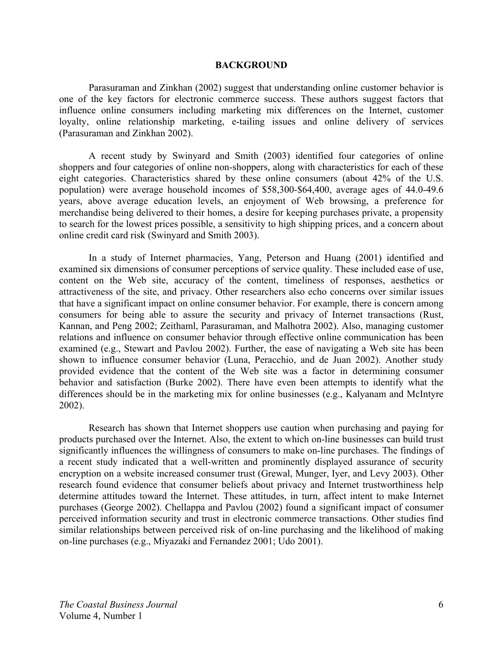#### **BACKGROUND**

Parasuraman and Zinkhan (2002) suggest that understanding online customer behavior is one of the key factors for electronic commerce success. These authors suggest factors that influence online consumers including marketing mix differences on the Internet, customer loyalty, online relationship marketing, e-tailing issues and online delivery of services (Parasuraman and Zinkhan 2002).

A recent study by Swinyard and Smith (2003) identified four categories of online shoppers and four categories of online non-shoppers, along with characteristics for each of these eight categories. Characteristics shared by these online consumers (about 42% of the U.S. population) were average household incomes of \$58,300-\$64,400, average ages of 44.0-49.6 years, above average education levels, an enjoyment of Web browsing, a preference for merchandise being delivered to their homes, a desire for keeping purchases private, a propensity to search for the lowest prices possible, a sensitivity to high shipping prices, and a concern about online credit card risk (Swinyard and Smith 2003).

In a study of Internet pharmacies, Yang, Peterson and Huang (2001) identified and examined six dimensions of consumer perceptions of service quality. These included ease of use, content on the Web site, accuracy of the content, timeliness of responses, aesthetics or attractiveness of the site, and privacy. Other researchers also echo concerns over similar issues that have a significant impact on online consumer behavior. For example, there is concern among consumers for being able to assure the security and privacy of Internet transactions (Rust, Kannan, and Peng 2002; Zeithaml, Parasuraman, and Malhotra 2002). Also, managing customer relations and influence on consumer behavior through effective online communication has been examined (e.g., Stewart and Pavlou 2002). Further, the ease of navigating a Web site has been shown to influence consumer behavior (Luna, Peracchio, and de Juan 2002). Another study provided evidence that the content of the Web site was a factor in determining consumer behavior and satisfaction (Burke 2002). There have even been attempts to identify what the differences should be in the marketing mix for online businesses (e.g., Kalyanam and McIntyre 2002).

Research has shown that Internet shoppers use caution when purchasing and paying for products purchased over the Internet. Also, the extent to which on-line businesses can build trust significantly influences the willingness of consumers to make on-line purchases. The findings of a recent study indicated that a well-written and prominently displayed assurance of security encryption on a website increased consumer trust (Grewal, Munger, Iyer, and Levy 2003). Other research found evidence that consumer beliefs about privacy and Internet trustworthiness help determine attitudes toward the Internet. These attitudes, in turn, affect intent to make Internet purchases (George 2002). Chellappa and Pavlou (2002) found a significant impact of consumer perceived information security and trust in electronic commerce transactions. Other studies find similar relationships between perceived risk of on-line purchasing and the likelihood of making on-line purchases (e.g., Miyazaki and Fernandez 2001; Udo 2001).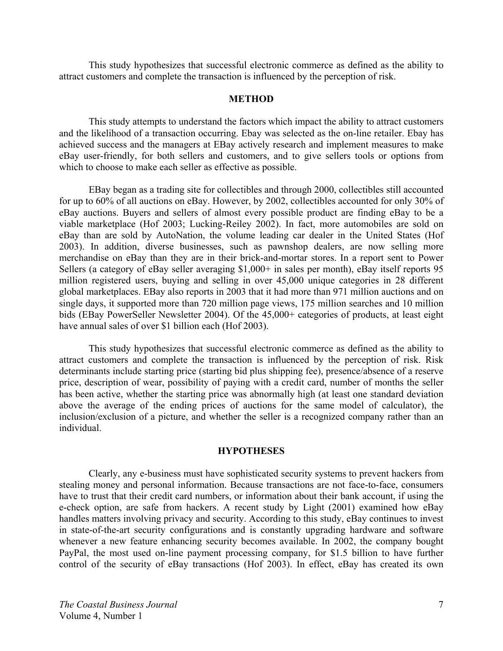This study hypothesizes that successful electronic commerce as defined as the ability to attract customers and complete the transaction is influenced by the perception of risk.

#### **METHOD**

This study attempts to understand the factors which impact the ability to attract customers and the likelihood of a transaction occurring. Ebay was selected as the on-line retailer. Ebay has achieved success and the managers at EBay actively research and implement measures to make eBay user-friendly, for both sellers and customers, and to give sellers tools or options from which to choose to make each seller as effective as possible.

EBay began as a trading site for collectibles and through 2000, collectibles still accounted for up to 60% of all auctions on eBay. However, by 2002, collectibles accounted for only 30% of eBay auctions. Buyers and sellers of almost every possible product are finding eBay to be a viable marketplace (Hof 2003; Lucking-Reiley 2002). In fact, more automobiles are sold on eBay than are sold by AutoNation, the volume leading car dealer in the United States (Hof 2003). In addition, diverse businesses, such as pawnshop dealers, are now selling more merchandise on eBay than they are in their brick-and-mortar stores. In a report sent to Power Sellers (a category of eBay seller averaging \$1,000+ in sales per month), eBay itself reports 95 million registered users, buying and selling in over 45,000 unique categories in 28 different global marketplaces. EBay also reports in 2003 that it had more than 971 million auctions and on single days, it supported more than 720 million page views, 175 million searches and 10 million bids (EBay PowerSeller Newsletter 2004). Of the 45,000+ categories of products, at least eight have annual sales of over \$1 billion each (Hof 2003).

This study hypothesizes that successful electronic commerce as defined as the ability to attract customers and complete the transaction is influenced by the perception of risk. Risk determinants include starting price (starting bid plus shipping fee), presence/absence of a reserve price, description of wear, possibility of paying with a credit card, number of months the seller has been active, whether the starting price was abnormally high (at least one standard deviation above the average of the ending prices of auctions for the same model of calculator), the inclusion/exclusion of a picture, and whether the seller is a recognized company rather than an individual.

#### **HYPOTHESES**

Clearly, any e-business must have sophisticated security systems to prevent hackers from stealing money and personal information. Because transactions are not face-to-face, consumers have to trust that their credit card numbers, or information about their bank account, if using the e-check option, are safe from hackers. A recent study by Light (2001) examined how eBay handles matters involving privacy and security. According to this study, eBay continues to invest in state-of-the-art security configurations and is constantly upgrading hardware and software whenever a new feature enhancing security becomes available. In 2002, the company bought PayPal, the most used on-line payment processing company, for \$1.5 billion to have further control of the security of eBay transactions (Hof 2003). In effect, eBay has created its own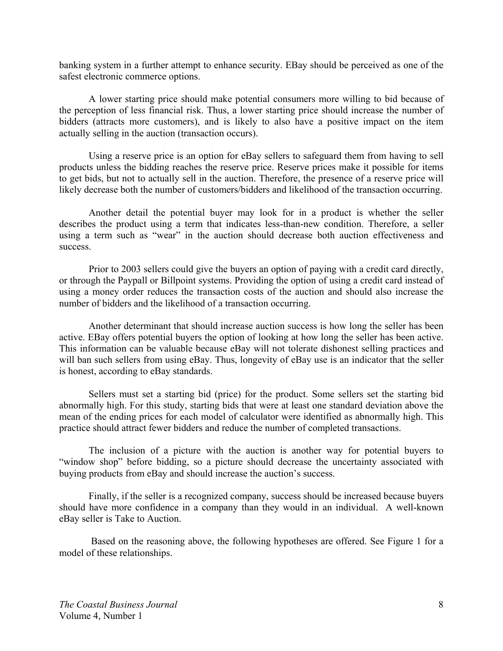banking system in a further attempt to enhance security. EBay should be perceived as one of the safest electronic commerce options.

 A lower starting price should make potential consumers more willing to bid because of the perception of less financial risk. Thus, a lower starting price should increase the number of bidders (attracts more customers), and is likely to also have a positive impact on the item actually selling in the auction (transaction occurs).

 Using a reserve price is an option for eBay sellers to safeguard them from having to sell products unless the bidding reaches the reserve price. Reserve prices make it possible for items to get bids, but not to actually sell in the auction. Therefore, the presence of a reserve price will likely decrease both the number of customers/bidders and likelihood of the transaction occurring.

 Another detail the potential buyer may look for in a product is whether the seller describes the product using a term that indicates less-than-new condition. Therefore, a seller using a term such as "wear" in the auction should decrease both auction effectiveness and success.

Prior to 2003 sellers could give the buyers an option of paying with a credit card directly, or through the Paypall or Billpoint systems. Providing the option of using a credit card instead of using a money order reduces the transaction costs of the auction and should also increase the number of bidders and the likelihood of a transaction occurring.

 Another determinant that should increase auction success is how long the seller has been active. EBay offers potential buyers the option of looking at how long the seller has been active. This information can be valuable because eBay will not tolerate dishonest selling practices and will ban such sellers from using eBay. Thus, longevity of eBay use is an indicator that the seller is honest, according to eBay standards.

 Sellers must set a starting bid (price) for the product. Some sellers set the starting bid abnormally high. For this study, starting bids that were at least one standard deviation above the mean of the ending prices for each model of calculator were identified as abnormally high. This practice should attract fewer bidders and reduce the number of completed transactions.

The inclusion of a picture with the auction is another way for potential buyers to "window shop" before bidding, so a picture should decrease the uncertainty associated with buying products from eBay and should increase the auction's success.

Finally, if the seller is a recognized company, success should be increased because buyers should have more confidence in a company than they would in an individual. A well-known eBay seller is Take to Auction.

 Based on the reasoning above, the following hypotheses are offered. See Figure 1 for a model of these relationships.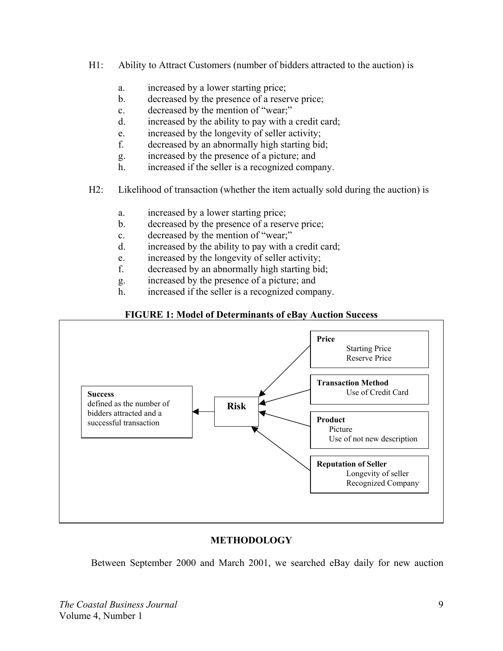- H1: Ability to Attract Customers (number of bidders attracted to the auction) is
	- a. increased by a lower starting price;
	- b. decreased by the presence of a reserve price;
	- c. decreased by the mention of "wear;"
	- d. increased by the ability to pay with a credit card;
	- e. increased by the longevity of seller activity;
	- f. decreased by an abnormally high starting bid;
	- g. increased by the presence of a picture; and
	- h. increased if the seller is a recognized company.
- H2: Likelihood of transaction (whether the item actually sold during the auction) is
	- a. increased by a lower starting price;
	- b. decreased by the presence of a reserve price;
	- c. decreased by the mention of "wear;"
	- d. increased by the ability to pay with a credit card;
	- e. increased by the longevity of seller activity;
	- f. decreased by an abnormally high starting bid;
	- g. increased by the presence of a picture; and
	- h. increased if the seller is a recognized company.

### **FIGURE 1: Model of Determinants of eBay Auction Success**



## **METHODOLOGY**

Between September 2000 and March 2001, we searched eBay daily for new auction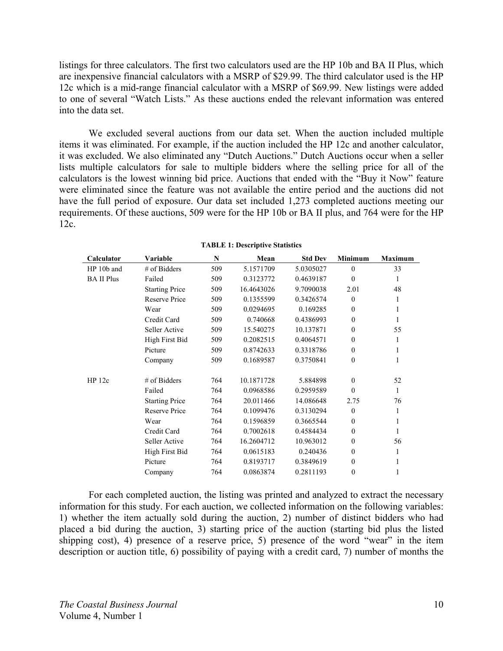listings for three calculators. The first two calculators used are the HP 10b and BA II Plus, which are inexpensive financial calculators with a MSRP of \$29.99. The third calculator used is the HP 12c which is a mid-range financial calculator with a MSRP of \$69.99. New listings were added to one of several "Watch Lists." As these auctions ended the relevant information was entered into the data set.

We excluded several auctions from our data set. When the auction included multiple items it was eliminated. For example, if the auction included the HP 12c and another calculator, it was excluded. We also eliminated any "Dutch Auctions." Dutch Auctions occur when a seller lists multiple calculators for sale to multiple bidders where the selling price for all of the calculators is the lowest winning bid price. Auctions that ended with the "Buy it Now" feature were eliminated since the feature was not available the entire period and the auctions did not have the full period of exposure. Our data set included 1,273 completed auctions meeting our requirements. Of these auctions, 509 were for the HP 10b or BA II plus, and 764 were for the HP 12c.

| Calculator        | Variable              | N   | Mean       | <b>Std Dev</b> | <b>Minimum</b>   | <b>Maximum</b> |
|-------------------|-----------------------|-----|------------|----------------|------------------|----------------|
| HP 10b and        | # of Bidders          | 509 | 5.1571709  | 5.0305027      | $\theta$         | 33             |
| <b>BA II Plus</b> | Failed                | 509 | 0.3123772  | 0.4639187      | $\mathbf{0}$     | 1              |
|                   | <b>Starting Price</b> | 509 | 16.4643026 | 9.7090038      | 2.01             | 48             |
|                   | Reserve Price         | 509 | 0.1355599  | 0.3426574      | $\mathbf{0}$     | 1              |
|                   | Wear                  | 509 | 0.0294695  | 0.169285       | $\mathbf{0}$     | 1              |
|                   | Credit Card           | 509 | 0.740668   | 0.4386993      | $\mathbf{0}$     |                |
|                   | Seller Active         | 509 | 15.540275  | 10.137871      | $\mathbf{0}$     | 55             |
|                   | High First Bid        | 509 | 0.2082515  | 0.4064571      | $\mathbf{0}$     | 1              |
|                   | Picture               | 509 | 0.8742633  | 0.3318786      | $\boldsymbol{0}$ | 1              |
|                   | Company               | 509 | 0.1689587  | 0.3750841      | $\mathbf{0}$     | 1              |
| HP 12c            | $#$ of Bidders        | 764 | 10.1871728 | 5.884898       | $\mathbf{0}$     | 52             |
|                   | Failed                | 764 | 0.0968586  | 0.2959589      | $\theta$         | 1              |
|                   | <b>Starting Price</b> | 764 | 20.011466  | 14.086648      | 2.75             | 76             |
|                   | Reserve Price         | 764 | 0.1099476  | 0.3130294      | $\theta$         | 1              |
|                   | Wear                  | 764 | 0.1596859  | 0.3665544      | $\mathbf{0}$     | 1              |
|                   | Credit Card           | 764 | 0.7002618  | 0.4584434      | $\mathbf{0}$     | 1              |
|                   | Seller Active         | 764 | 16.2604712 | 10.963012      | $\mathbf{0}$     | 56             |
|                   | High First Bid        | 764 | 0.0615183  | 0.240436       | $\mathbf{0}$     | 1              |
|                   | Picture               | 764 | 0.8193717  | 0.3849619      | $\mathbf{0}$     | 1              |
|                   | Company               | 764 | 0.0863874  | 0.2811193      | $\boldsymbol{0}$ |                |

**TABLE 1: Descriptive Statistics** 

For each completed auction, the listing was printed and analyzed to extract the necessary information for this study. For each auction, we collected information on the following variables: 1) whether the item actually sold during the auction, 2) number of distinct bidders who had placed a bid during the auction, 3) starting price of the auction (starting bid plus the listed shipping cost), 4) presence of a reserve price, 5) presence of the word "wear" in the item description or auction title, 6) possibility of paying with a credit card, 7) number of months the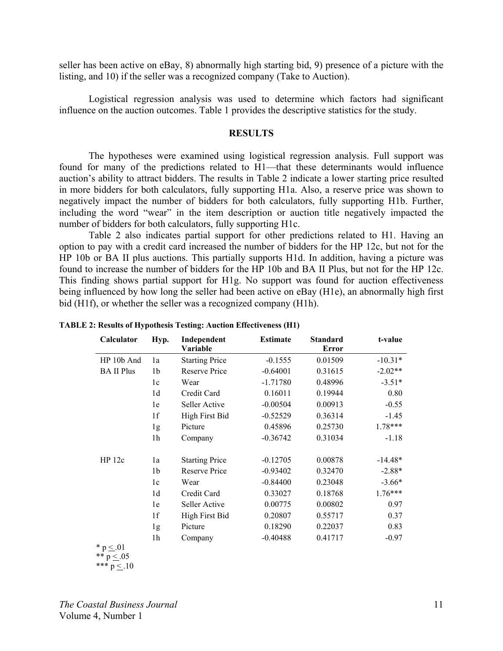seller has been active on eBay, 8) abnormally high starting bid, 9) presence of a picture with the listing, and 10) if the seller was a recognized company (Take to Auction).

 Logistical regression analysis was used to determine which factors had significant influence on the auction outcomes. Table 1 provides the descriptive statistics for the study.

#### **RESULTS**

The hypotheses were examined using logistical regression analysis. Full support was found for many of the predictions related to H1—that these determinants would influence auction's ability to attract bidders. The results in Table 2 indicate a lower starting price resulted in more bidders for both calculators, fully supporting H1a. Also, a reserve price was shown to negatively impact the number of bidders for both calculators, fully supporting H1b. Further, including the word "wear" in the item description or auction title negatively impacted the number of bidders for both calculators, fully supporting H1c.

 Table 2 also indicates partial support for other predictions related to H1. Having an option to pay with a credit card increased the number of bidders for the HP 12c, but not for the HP 10b or BA II plus auctions. This partially supports H1d. In addition, having a picture was found to increase the number of bidders for the HP 10b and BA II Plus, but not for the HP 12c. This finding shows partial support for H1g. No support was found for auction effectiveness being influenced by how long the seller had been active on eBay (H1e), an abnormally high first bid (H1f), or whether the seller was a recognized company (H1h).

| Calculator                     | Hyp.           | Independent<br>Variable | <b>Estimate</b> | <b>Standard</b><br>Error | t-value   |
|--------------------------------|----------------|-------------------------|-----------------|--------------------------|-----------|
| HP 10b And                     | 1a             | <b>Starting Price</b>   | $-0.1555$       | 0.01509                  | $-10.31*$ |
| <b>BA II Plus</b>              | 1b             | <b>Reserve Price</b>    | $-0.64001$      | 0.31615                  | $-2.02**$ |
|                                | 1c             | Wear                    | $-1.71780$      | 0.48996                  | $-3.51*$  |
|                                | 1 <sub>d</sub> | Credit Card             | 0.16011         | 0.19944                  | 0.80      |
|                                | 1e             | Seller Active           | $-0.00504$      | 0.00913                  | $-0.55$   |
|                                | 1f             | High First Bid          | $-0.52529$      | 0.36314                  | $-1.45$   |
|                                | 1 <sub>g</sub> | Picture                 | 0.45896         | 0.25730                  | $1.78***$ |
|                                | 1 <sub>h</sub> | Company                 | $-0.36742$      | 0.31034                  | $-1.18$   |
| HP 12c                         | 1a             | <b>Starting Price</b>   | $-0.12705$      | 0.00878                  | $-14.48*$ |
|                                | 1 <sub>b</sub> | Reserve Price           | $-0.93402$      | 0.32470                  | $-2.88*$  |
|                                | 1c             | Wear                    | $-0.84400$      | 0.23048                  | $-3.66*$  |
|                                | 1 <sub>d</sub> | Credit Card             | 0.33027         | 0.18768                  | $1.76***$ |
|                                | 1e             | Seller Active           | 0.00775         | 0.00802                  | 0.97      |
|                                | 1f             | High First Bid          | 0.20807         | 0.55717                  | 0.37      |
|                                | 1g             | Picture                 | 0.18290         | 0.22037                  | 0.83      |
|                                | 1h             | Company                 | $-0.40488$      | 0.41717                  | $-0.97$   |
| $* p < .01$<br>** $p \le 0.05$ |                |                         |                 |                          |           |

**TABLE 2: Results of Hypothesis Testing: Auction Effectiveness (H1)** 

\*\*\*  $p < .10$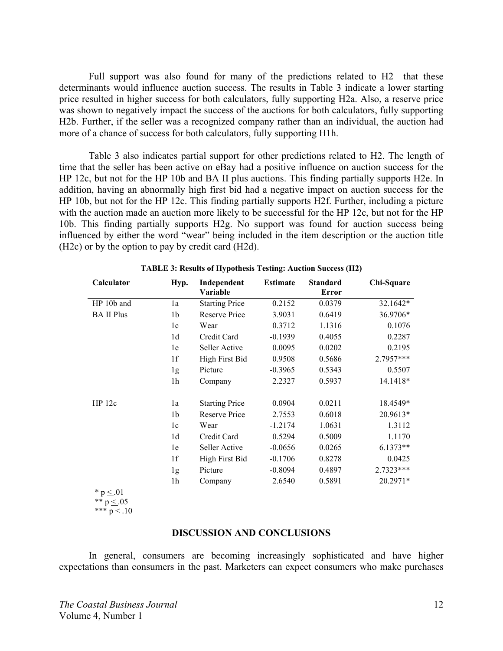Full support was also found for many of the predictions related to H2—that these determinants would influence auction success. The results in Table 3 indicate a lower starting price resulted in higher success for both calculators, fully supporting H2a. Also, a reserve price was shown to negatively impact the success of the auctions for both calculators, fully supporting H2b. Further, if the seller was a recognized company rather than an individual, the auction had more of a chance of success for both calculators, fully supporting H1h.

 Table 3 also indicates partial support for other predictions related to H2. The length of time that the seller has been active on eBay had a positive influence on auction success for the HP 12c, but not for the HP 10b and BA II plus auctions. This finding partially supports H2e. In addition, having an abnormally high first bid had a negative impact on auction success for the HP 10b, but not for the HP 12c. This finding partially supports H2f. Further, including a picture with the auction made an auction more likely to be successful for the HP 12c, but not for the HP 10b. This finding partially supports H2g. No support was found for auction success being influenced by either the word "wear" being included in the item description or the auction title (H2c) or by the option to pay by credit card (H2d).

| Calculator                  | Hyp.           | Independent<br>Variable | <b>Estimate</b> | <b>Standard</b><br><b>Error</b> | Chi-Square |
|-----------------------------|----------------|-------------------------|-----------------|---------------------------------|------------|
| HP 10b and                  | 1a             | <b>Starting Price</b>   | 0.2152          | 0.0379                          | 32.1642*   |
| <b>BA II Plus</b>           | 1b             | Reserve Price           | 3.9031          | 0.6419                          | 36.9706*   |
|                             | 1c             | Wear                    | 0.3712          | 1.1316                          | 0.1076     |
|                             | 1d             | Credit Card             | $-0.1939$       | 0.4055                          | 0.2287     |
|                             | 1e             | Seller Active           | 0.0095          | 0.0202                          | 0.2195     |
|                             | 1f             | High First Bid          | 0.9508          | 0.5686                          | 2.7957***  |
|                             | 1g             | Picture                 | $-0.3965$       | 0.5343                          | 0.5507     |
|                             | 1 <sub>h</sub> | Company                 | 2.2327          | 0.5937                          | 14.1418*   |
| HP 12c                      | 1a             | <b>Starting Price</b>   | 0.0904          | 0.0211                          | 18.4549*   |
|                             | 1 <sub>b</sub> | Reserve Price           | 2.7553          | 0.6018                          | 20.9613*   |
|                             | 1c             | Wear                    | $-1.2174$       | 1.0631                          | 1.3112     |
|                             | 1d             | Credit Card             | 0.5294          | 0.5009                          | 1.1170     |
|                             | 1e             | Seller Active           | $-0.0656$       | 0.0265                          | $6.1373**$ |
|                             | 1f             | High First Bid          | $-0.1706$       | 0.8278                          | 0.0425     |
|                             | 1g             | Picture                 | $-0.8094$       | 0.4897                          | 2.7323***  |
|                             | 1 <sub>h</sub> | Company                 | 2.6540          | 0.5891                          | 20.2971*   |
| * $p \le 01$<br>$** n < 05$ |                |                         |                 |                                 |            |

**TABLE 3: Results of Hypothesis Testing: Auction Success (H2)**

\*\* p  $\leq .05$ \*\*\*  $p \leq 10$ 

#### **DISCUSSION AND CONCLUSIONS**

 In general, consumers are becoming increasingly sophisticated and have higher expectations than consumers in the past. Marketers can expect consumers who make purchases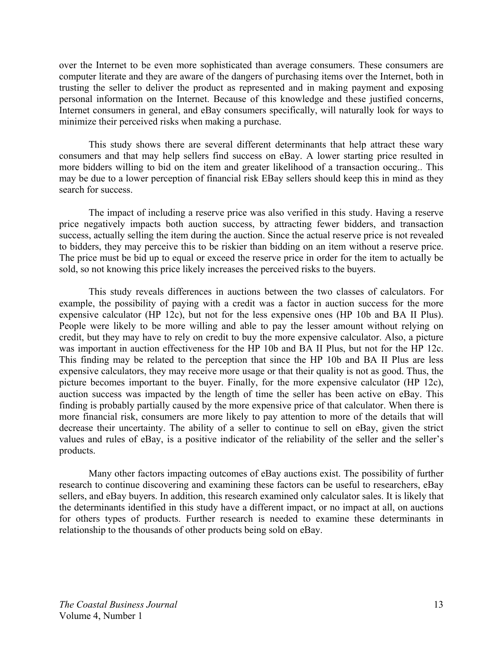over the Internet to be even more sophisticated than average consumers. These consumers are computer literate and they are aware of the dangers of purchasing items over the Internet, both in trusting the seller to deliver the product as represented and in making payment and exposing personal information on the Internet. Because of this knowledge and these justified concerns, Internet consumers in general, and eBay consumers specifically, will naturally look for ways to minimize their perceived risks when making a purchase.

 This study shows there are several different determinants that help attract these wary consumers and that may help sellers find success on eBay. A lower starting price resulted in more bidders willing to bid on the item and greater likelihood of a transaction occuring.. This may be due to a lower perception of financial risk EBay sellers should keep this in mind as they search for success.

 The impact of including a reserve price was also verified in this study. Having a reserve price negatively impacts both auction success, by attracting fewer bidders, and transaction success, actually selling the item during the auction. Since the actual reserve price is not revealed to bidders, they may perceive this to be riskier than bidding on an item without a reserve price. The price must be bid up to equal or exceed the reserve price in order for the item to actually be sold, so not knowing this price likely increases the perceived risks to the buyers.

 This study reveals differences in auctions between the two classes of calculators. For example, the possibility of paying with a credit was a factor in auction success for the more expensive calculator (HP 12c), but not for the less expensive ones (HP 10b and BA II Plus). People were likely to be more willing and able to pay the lesser amount without relying on credit, but they may have to rely on credit to buy the more expensive calculator. Also, a picture was important in auction effectiveness for the HP 10b and BA II Plus, but not for the HP 12c. This finding may be related to the perception that since the HP 10b and BA II Plus are less expensive calculators, they may receive more usage or that their quality is not as good. Thus, the picture becomes important to the buyer. Finally, for the more expensive calculator (HP 12c), auction success was impacted by the length of time the seller has been active on eBay. This finding is probably partially caused by the more expensive price of that calculator. When there is more financial risk, consumers are more likely to pay attention to more of the details that will decrease their uncertainty. The ability of a seller to continue to sell on eBay, given the strict values and rules of eBay, is a positive indicator of the reliability of the seller and the seller's products.

 Many other factors impacting outcomes of eBay auctions exist. The possibility of further research to continue discovering and examining these factors can be useful to researchers, eBay sellers, and eBay buyers. In addition, this research examined only calculator sales. It is likely that the determinants identified in this study have a different impact, or no impact at all, on auctions for others types of products. Further research is needed to examine these determinants in relationship to the thousands of other products being sold on eBay.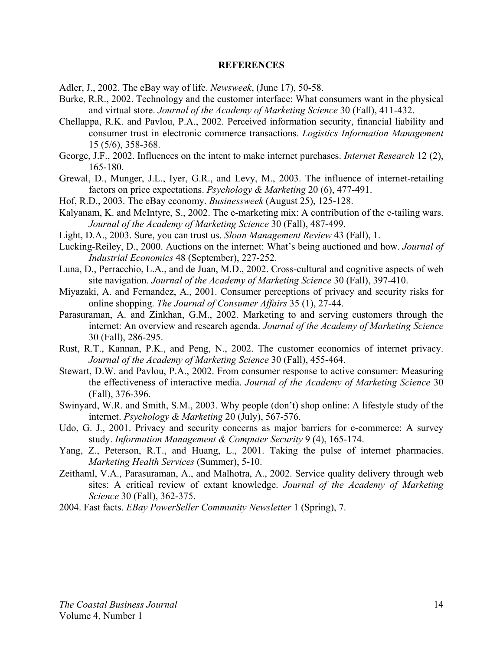#### **REFERENCES**

- Adler, J., 2002. The eBay way of life. *Newsweek*, (June 17), 50-58.
- Burke, R.R., 2002. Technology and the customer interface: What consumers want in the physical and virtual store. *Journal of the Academy of Marketing Science* 30 (Fall), 411-432.
- Chellappa, R.K. and Pavlou, P.A., 2002. Perceived information security, financial liability and consumer trust in electronic commerce transactions. *Logistics Information Management* 15 (5/6), 358-368.
- George, J.F., 2002. Influences on the intent to make internet purchases. *Internet Research* 12 (2), 165-180.
- Grewal, D., Munger, J.L., Iyer, G.R., and Levy, M., 2003. The influence of internet-retailing factors on price expectations. *Psychology & Marketing* 20 (6), 477-491.
- Hof, R.D., 2003. The eBay economy. *Businessweek* (August 25), 125-128.
- Kalyanam, K. and McIntyre, S., 2002. The e-marketing mix: A contribution of the e-tailing wars. *Journal of the Academy of Marketing Science* 30 (Fall), 487-499.
- Light, D.A., 2003. Sure, you can trust us. *Sloan Management Review* 43 (Fall), 1.
- Lucking-Reiley, D., 2000. Auctions on the internet: What's being auctioned and how. *Journal of Industrial Economics* 48 (September), 227-252.
- Luna, D., Perracchio, L.A., and de Juan, M.D., 2002. Cross-cultural and cognitive aspects of web site navigation. *Journal of the Academy of Marketing Science* 30 (Fall), 397-410.
- Miyazaki, A. and Fernandez, A., 2001. Consumer perceptions of privacy and security risks for online shopping. *The Journal of Consumer Affairs* 35 (1), 27-44.
- Parasuraman, A. and Zinkhan, G.M., 2002. Marketing to and serving customers through the internet: An overview and research agenda. *Journal of the Academy of Marketing Science*  30 (Fall), 286-295.
- Rust, R.T., Kannan, P.K., and Peng, N., 2002. The customer economics of internet privacy. *Journal of the Academy of Marketing Science* 30 (Fall), 455-464.
- Stewart, D.W. and Pavlou, P.A., 2002. From consumer response to active consumer: Measuring the effectiveness of interactive media. *Journal of the Academy of Marketing Science* 30 (Fall), 376-396.
- Swinyard, W.R. and Smith, S.M., 2003. Why people (don't) shop online: A lifestyle study of the internet. *Psychology & Marketing* 20 (July), 567-576.
- Udo, G. J., 2001. Privacy and security concerns as major barriers for e-commerce: A survey study. *Information Management & Computer Security* 9 (4), 165-174.
- Yang, Z., Peterson, R.T., and Huang, L., 2001. Taking the pulse of internet pharmacies. *Marketing Health Services* (Summer), 5-10.
- Zeithaml, V.A., Parasuraman, A., and Malhotra, A., 2002. Service quality delivery through web sites: A critical review of extant knowledge. *Journal of the Academy of Marketing Science* 30 (Fall), 362-375.
- 2004. Fast facts. *EBay PowerSeller Community Newsletter* 1 (Spring), 7.